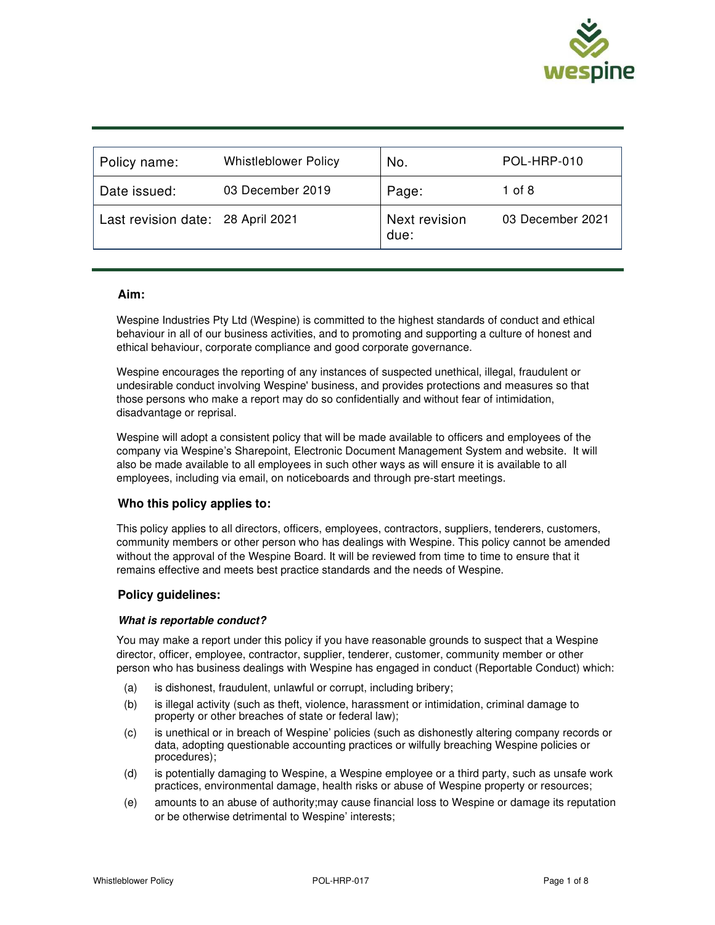

| Policy name:                      | <b>Whistleblower Policy</b> | No.                   | POL-HRP-010      |
|-----------------------------------|-----------------------------|-----------------------|------------------|
| Date issued:                      | 03 December 2019            | Page:                 | 1 of 8           |
| Last revision date: 28 April 2021 |                             | Next revision<br>due: | 03 December 2021 |

#### **Aim:**

Wespine Industries Pty Ltd (Wespine) is committed to the highest standards of conduct and ethical behaviour in all of our business activities, and to promoting and supporting a culture of honest and ethical behaviour, corporate compliance and good corporate governance.

Wespine encourages the reporting of any instances of suspected unethical, illegal, fraudulent or undesirable conduct involving Wespine' business, and provides protections and measures so that those persons who make a report may do so confidentially and without fear of intimidation, disadvantage or reprisal.

Wespine will adopt a consistent policy that will be made available to officers and employees of the company via Wespine's Sharepoint, Electronic Document Management System and website. It will also be made available to all employees in such other ways as will ensure it is available to all employees, including via email, on noticeboards and through pre-start meetings.

## **Who this policy applies to:**

This policy applies to all directors, officers, employees, contractors, suppliers, tenderers, customers, community members or other person who has dealings with Wespine. This policy cannot be amended without the approval of the Wespine Board. It will be reviewed from time to time to ensure that it remains effective and meets best practice standards and the needs of Wespine.

## **Policy guidelines:**

#### **What is reportable conduct?**

You may make a report under this policy if you have reasonable grounds to suspect that a Wespine director, officer, employee, contractor, supplier, tenderer, customer, community member or other person who has business dealings with Wespine has engaged in conduct (Reportable Conduct) which:

- (a) is dishonest, fraudulent, unlawful or corrupt, including bribery;
- (b) is illegal activity (such as theft, violence, harassment or intimidation, criminal damage to property or other breaches of state or federal law);
- (c) is unethical or in breach of Wespine' policies (such as dishonestly altering company records or data, adopting questionable accounting practices or wilfully breaching Wespine policies or procedures);
- (d) is potentially damaging to Wespine, a Wespine employee or a third party, such as unsafe work practices, environmental damage, health risks or abuse of Wespine property or resources;
- (e) amounts to an abuse of authority;may cause financial loss to Wespine or damage its reputation or be otherwise detrimental to Wespine' interests;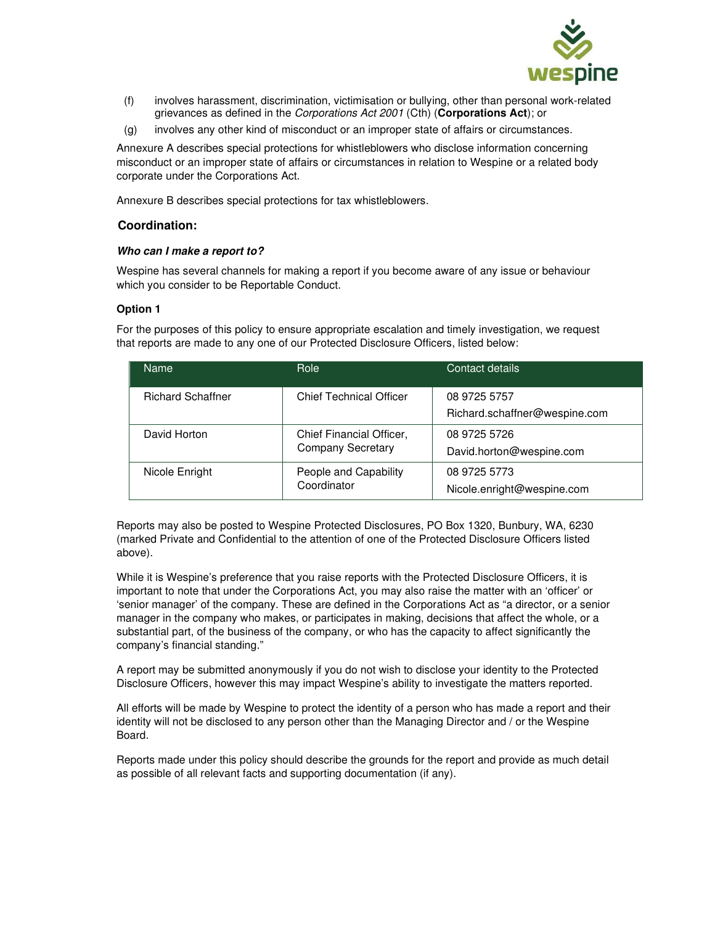

- (f) involves harassment, discrimination, victimisation or bullying, other than personal work-related grievances as defined in the Corporations Act 2001 (Cth) (**Corporations Act**); or
- (g) involves any other kind of misconduct or an improper state of affairs or circumstances.

Annexure A describes special protections for whistleblowers who disclose information concerning misconduct or an improper state of affairs or circumstances in relation to Wespine or a related body corporate under the Corporations Act.

Annexure B describes special protections for tax whistleblowers.

## **Coordination:**

## **Who can I make a report to?**

Wespine has several channels for making a report if you become aware of any issue or behaviour which you consider to be Reportable Conduct.

## **Option 1**

For the purposes of this policy to ensure appropriate escalation and timely investigation, we request that reports are made to any one of our Protected Disclosure Officers, listed below:

| <b>Name</b>              | Role                                                 | Contact details                               |  |
|--------------------------|------------------------------------------------------|-----------------------------------------------|--|
| <b>Richard Schaffner</b> | <b>Chief Technical Officer</b>                       | 08 9725 5757<br>Richard.schaffner@wespine.com |  |
| David Horton             | Chief Financial Officer,<br><b>Company Secretary</b> | 08 9725 5726<br>David.horton@wespine.com      |  |
| Nicole Enright           | People and Capability<br>Coordinator                 | 08 9725 5773<br>Nicole.enright@wespine.com    |  |

Reports may also be posted to Wespine Protected Disclosures, PO Box 1320, Bunbury, WA, 6230 (marked Private and Confidential to the attention of one of the Protected Disclosure Officers listed above).

While it is Wespine's preference that you raise reports with the Protected Disclosure Officers, it is important to note that under the Corporations Act, you may also raise the matter with an 'officer' or 'senior manager' of the company. These are defined in the Corporations Act as "a director, or a senior manager in the company who makes, or participates in making, decisions that affect the whole, or a substantial part, of the business of the company, or who has the capacity to affect significantly the company's financial standing."

A report may be submitted anonymously if you do not wish to disclose your identity to the Protected Disclosure Officers, however this may impact Wespine's ability to investigate the matters reported.

All efforts will be made by Wespine to protect the identity of a person who has made a report and their identity will not be disclosed to any person other than the Managing Director and / or the Wespine Board.

Reports made under this policy should describe the grounds for the report and provide as much detail as possible of all relevant facts and supporting documentation (if any).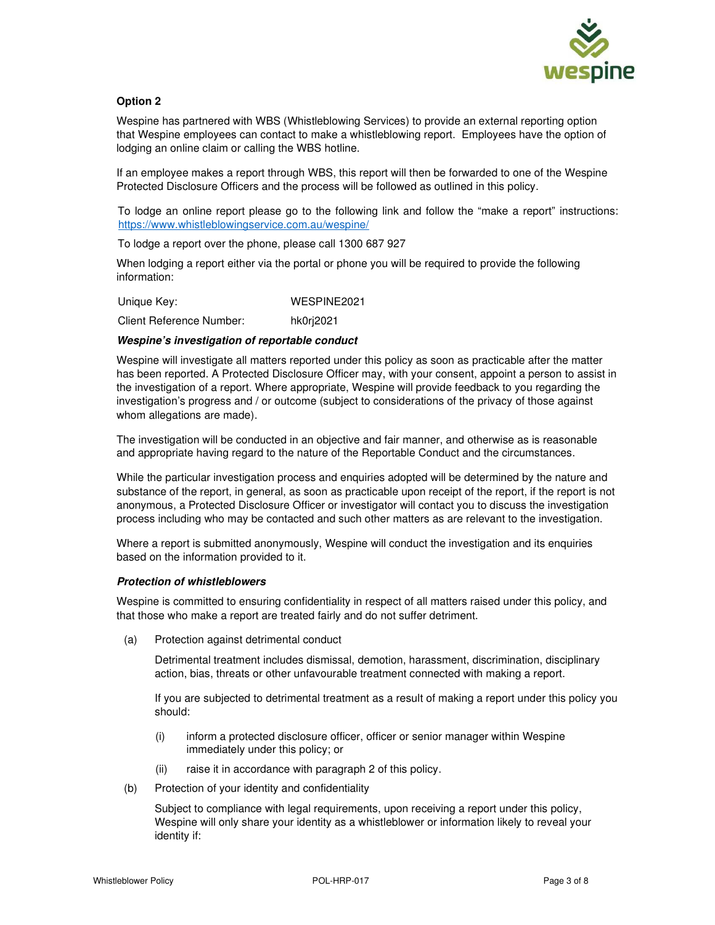

## **Option 2**

Wespine has partnered with WBS (Whistleblowing Services) to provide an external reporting option that Wespine employees can contact to make a whistleblowing report. Employees have the option of lodging an online claim or calling the WBS hotline.

If an employee makes a report through WBS, this report will then be forwarded to one of the Wespine Protected Disclosure Officers and the process will be followed as outlined in this policy.

To lodge an online report please go to the following link and follow the "make a report" instructions: https://www.whistleblowingservice.com.au/wespine/

To lodge a report over the phone, please call 1300 687 927

When lodging a report either via the portal or phone you will be required to provide the following information:

Unique Key: WESPINE2021

Client Reference Number: hk0rj2021

#### **Wespine's investigation of reportable conduct**

Wespine will investigate all matters reported under this policy as soon as practicable after the matter has been reported. A Protected Disclosure Officer may, with your consent, appoint a person to assist in the investigation of a report. Where appropriate, Wespine will provide feedback to you regarding the investigation's progress and / or outcome (subject to considerations of the privacy of those against whom allegations are made).

The investigation will be conducted in an objective and fair manner, and otherwise as is reasonable and appropriate having regard to the nature of the Reportable Conduct and the circumstances.

While the particular investigation process and enquiries adopted will be determined by the nature and substance of the report, in general, as soon as practicable upon receipt of the report, if the report is not anonymous, a Protected Disclosure Officer or investigator will contact you to discuss the investigation process including who may be contacted and such other matters as are relevant to the investigation.

Where a report is submitted anonymously, Wespine will conduct the investigation and its enquiries based on the information provided to it.

#### **Protection of whistleblowers**

Wespine is committed to ensuring confidentiality in respect of all matters raised under this policy, and that those who make a report are treated fairly and do not suffer detriment.

(a) Protection against detrimental conduct

Detrimental treatment includes dismissal, demotion, harassment, discrimination, disciplinary action, bias, threats or other unfavourable treatment connected with making a report.

If you are subjected to detrimental treatment as a result of making a report under this policy you should:

- (i) inform a protected disclosure officer, officer or senior manager within Wespine immediately under this policy; or
- (ii) raise it in accordance with paragraph 2 of this policy.
- (b) Protection of your identity and confidentiality

Subject to compliance with legal requirements, upon receiving a report under this policy, Wespine will only share your identity as a whistleblower or information likely to reveal your identity if: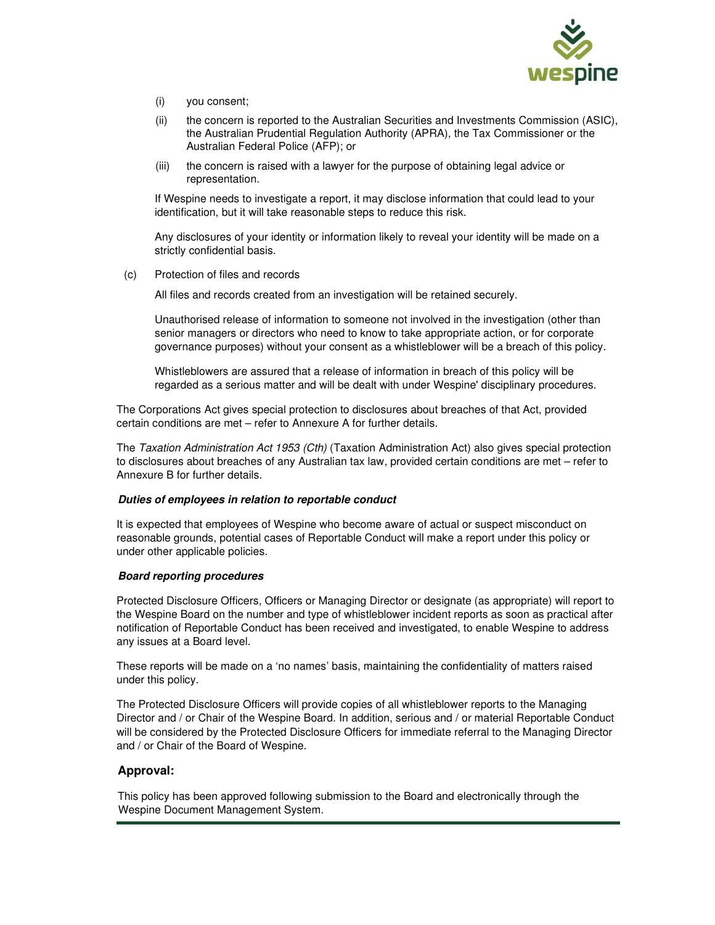

- (i) you consent;
- (ii) the concern is reported to the Australian Securities and Investments Commission (ASIC), the Australian Prudential Regulation Authority (APRA), the Tax Commissioner or the Australian Federal Police (AFP); or
- (iii) the concern is raised with a lawyer for the purpose of obtaining legal advice or representation.

If Wespine needs to investigate a report, it may disclose information that could lead to your identification, but it will take reasonable steps to reduce this risk.

Any disclosures of your identity or information likely to reveal your identity will be made on a strictly confidential basis.

(c) Protection of files and records

All files and records created from an investigation will be retained securely.

Unauthorised release of information to someone not involved in the investigation (other than senior managers or directors who need to know to take appropriate action, or for corporate governance purposes) without your consent as a whistleblower will be a breach of this policy.

Whistleblowers are assured that a release of information in breach of this policy will be regarded as a serious matter and will be dealt with under Wespine' disciplinary procedures.

The Corporations Act gives special protection to disclosures about breaches of that Act, provided certain conditions are met – refer to Annexure A for further details.

The Taxation Administration Act 1953 (Cth) (Taxation Administration Act) also gives special protection to disclosures about breaches of any Australian tax law, provided certain conditions are met – refer to Annexure B for further details.

## **Duties of employees in relation to reportable conduct**

It is expected that employees of Wespine who become aware of actual or suspect misconduct on reasonable grounds, potential cases of Reportable Conduct will make a report under this policy or under other applicable policies.

#### **Board reporting procedures**

Protected Disclosure Officers, Officers or Managing Director or designate (as appropriate) will report to the Wespine Board on the number and type of whistleblower incident reports as soon as practical after notification of Reportable Conduct has been received and investigated, to enable Wespine to address any issues at a Board level.

These reports will be made on a 'no names' basis, maintaining the confidentiality of matters raised under this policy.

The Protected Disclosure Officers will provide copies of all whistleblower reports to the Managing Director and / or Chair of the Wespine Board. In addition, serious and / or material Reportable Conduct will be considered by the Protected Disclosure Officers for immediate referral to the Managing Director and / or Chair of the Board of Wespine.

## **Approval:**

This policy has been approved following submission to the Board and electronically through the Wespine Document Management System.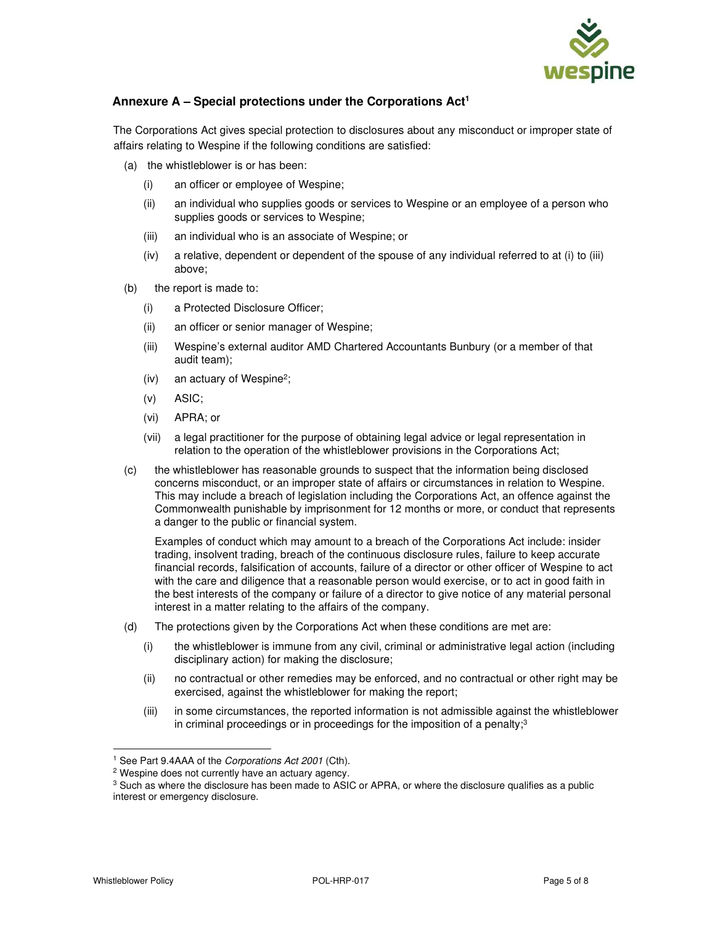

# **Annexure A – Special protections under the Corporations Act<sup>1</sup>**

The Corporations Act gives special protection to disclosures about any misconduct or improper state of affairs relating to Wespine if the following conditions are satisfied:

- (a) the whistleblower is or has been:
	- (i) an officer or employee of Wespine;
	- (ii) an individual who supplies goods or services to Wespine or an employee of a person who supplies goods or services to Wespine;
	- (iii) an individual who is an associate of Wespine; or
	- (iv) a relative, dependent or dependent of the spouse of any individual referred to at (i) to (iii) above;
- (b) the report is made to:
	- (i) a Protected Disclosure Officer;
	- (ii) an officer or senior manager of Wespine;
	- (iii) Wespine's external auditor AMD Chartered Accountants Bunbury (or a member of that audit team);
	- (iv) an actuary of Wespine<sup>2</sup> ;
	- (v) ASIC;
	- (vi) APRA; or
	- (vii) a legal practitioner for the purpose of obtaining legal advice or legal representation in relation to the operation of the whistleblower provisions in the Corporations Act;
- (c) the whistleblower has reasonable grounds to suspect that the information being disclosed concerns misconduct, or an improper state of affairs or circumstances in relation to Wespine. This may include a breach of legislation including the Corporations Act, an offence against the Commonwealth punishable by imprisonment for 12 months or more, or conduct that represents a danger to the public or financial system.

Examples of conduct which may amount to a breach of the Corporations Act include: insider trading, insolvent trading, breach of the continuous disclosure rules, failure to keep accurate financial records, falsification of accounts, failure of a director or other officer of Wespine to act with the care and diligence that a reasonable person would exercise, or to act in good faith in the best interests of the company or failure of a director to give notice of any material personal interest in a matter relating to the affairs of the company.

- (d) The protections given by the Corporations Act when these conditions are met are:
	- (i) the whistleblower is immune from any civil, criminal or administrative legal action (including disciplinary action) for making the disclosure;
	- (ii) no contractual or other remedies may be enforced, and no contractual or other right may be exercised, against the whistleblower for making the report;
	- (iii) in some circumstances, the reported information is not admissible against the whistleblower in criminal proceedings or in proceedings for the imposition of a penalty; $3$

<sup>&</sup>lt;sup>1</sup> See Part 9.4AAA of the Corporations Act 2001 (Cth).

<sup>&</sup>lt;sup>2</sup> Wespine does not currently have an actuary agency.

<sup>&</sup>lt;sup>3</sup> Such as where the disclosure has been made to ASIC or APRA, or where the disclosure qualifies as a public interest or emergency disclosure.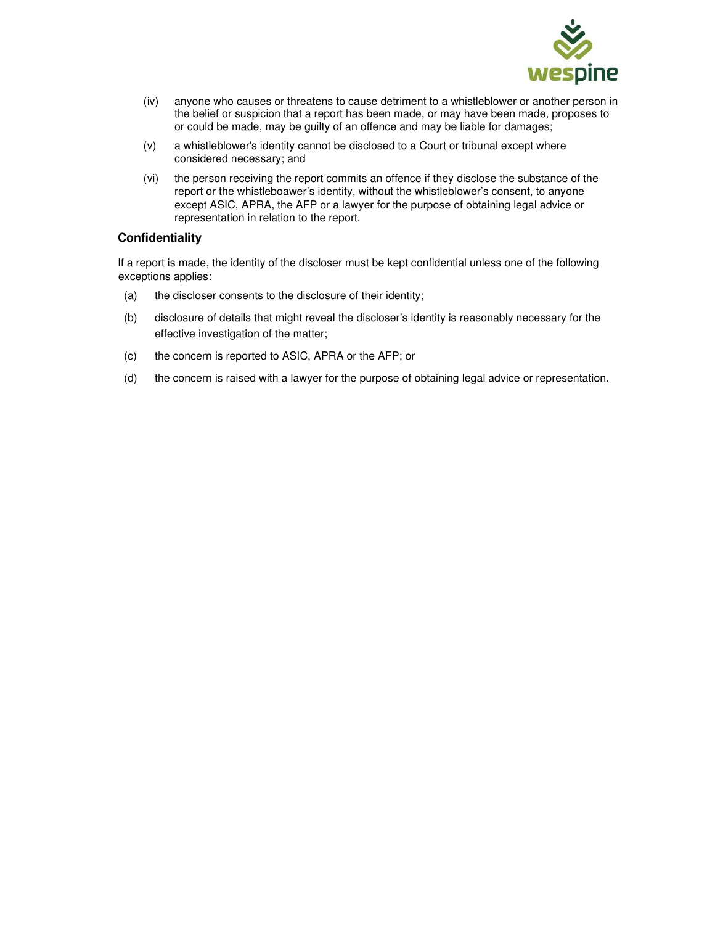

- (iv) anyone who causes or threatens to cause detriment to a whistleblower or another person in the belief or suspicion that a report has been made, or may have been made, proposes to or could be made, may be guilty of an offence and may be liable for damages;
- (v) a whistleblower's identity cannot be disclosed to a Court or tribunal except where considered necessary; and
- (vi) the person receiving the report commits an offence if they disclose the substance of the report or the whistleboawer's identity, without the whistleblower's consent, to anyone except ASIC, APRA, the AFP or a lawyer for the purpose of obtaining legal advice or representation in relation to the report.

## **Confidentiality**

If a report is made, the identity of the discloser must be kept confidential unless one of the following exceptions applies:

- (a) the discloser consents to the disclosure of their identity;
- (b) disclosure of details that might reveal the discloser's identity is reasonably necessary for the effective investigation of the matter;
- (c) the concern is reported to ASIC, APRA or the AFP; or
- (d) the concern is raised with a lawyer for the purpose of obtaining legal advice or representation.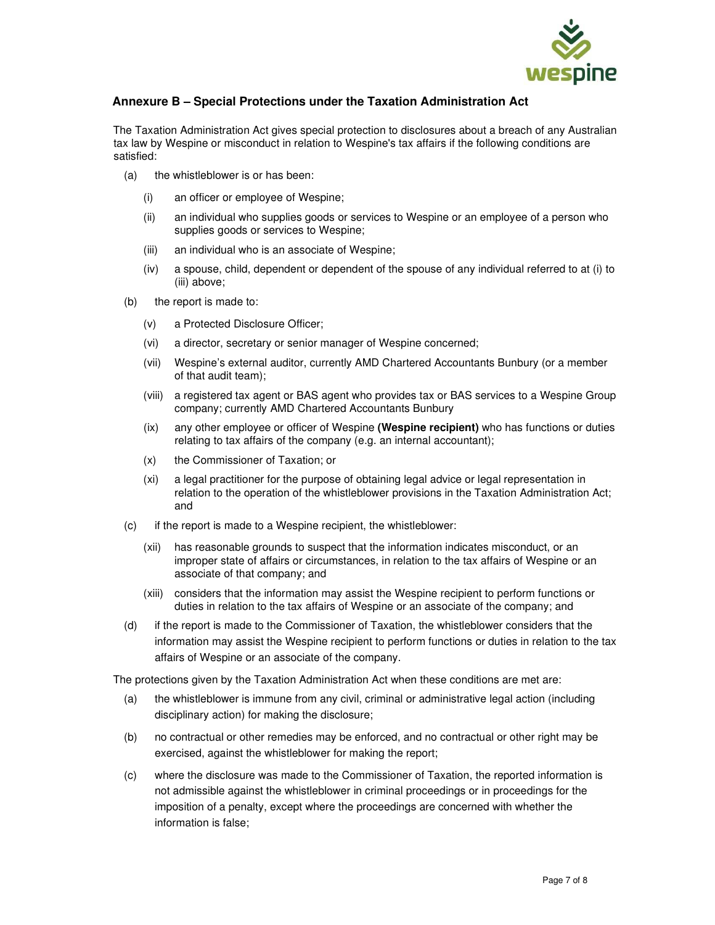

# **Annexure B – Special Protections under the Taxation Administration Act**

The Taxation Administration Act gives special protection to disclosures about a breach of any Australian tax law by Wespine or misconduct in relation to Wespine's tax affairs if the following conditions are satisfied:

- (a) the whistleblower is or has been:
	- (i) an officer or employee of Wespine;
	- (ii) an individual who supplies goods or services to Wespine or an employee of a person who supplies goods or services to Wespine;
	- (iii) an individual who is an associate of Wespine;
	- (iv) a spouse, child, dependent or dependent of the spouse of any individual referred to at (i) to (iii) above;
- (b) the report is made to:
	- (v) a Protected Disclosure Officer;
	- (vi) a director, secretary or senior manager of Wespine concerned;
	- (vii) Wespine's external auditor, currently AMD Chartered Accountants Bunbury (or a member of that audit team);
	- (viii) a registered tax agent or BAS agent who provides tax or BAS services to a Wespine Group company; currently AMD Chartered Accountants Bunbury
	- (ix) any other employee or officer of Wespine **(Wespine recipient)** who has functions or duties relating to tax affairs of the company (e.g. an internal accountant);
	- (x) the Commissioner of Taxation; or
	- (xi) a legal practitioner for the purpose of obtaining legal advice or legal representation in relation to the operation of the whistleblower provisions in the Taxation Administration Act; and
- (c) if the report is made to a Wespine recipient, the whistleblower:
	- (xii) has reasonable grounds to suspect that the information indicates misconduct, or an improper state of affairs or circumstances, in relation to the tax affairs of Wespine or an associate of that company; and
	- (xiii) considers that the information may assist the Wespine recipient to perform functions or duties in relation to the tax affairs of Wespine or an associate of the company; and
- (d) if the report is made to the Commissioner of Taxation, the whistleblower considers that the information may assist the Wespine recipient to perform functions or duties in relation to the tax affairs of Wespine or an associate of the company.

The protections given by the Taxation Administration Act when these conditions are met are:

- (a) the whistleblower is immune from any civil, criminal or administrative legal action (including disciplinary action) for making the disclosure;
- (b) no contractual or other remedies may be enforced, and no contractual or other right may be exercised, against the whistleblower for making the report;
- (c) where the disclosure was made to the Commissioner of Taxation, the reported information is not admissible against the whistleblower in criminal proceedings or in proceedings for the imposition of a penalty, except where the proceedings are concerned with whether the information is false;